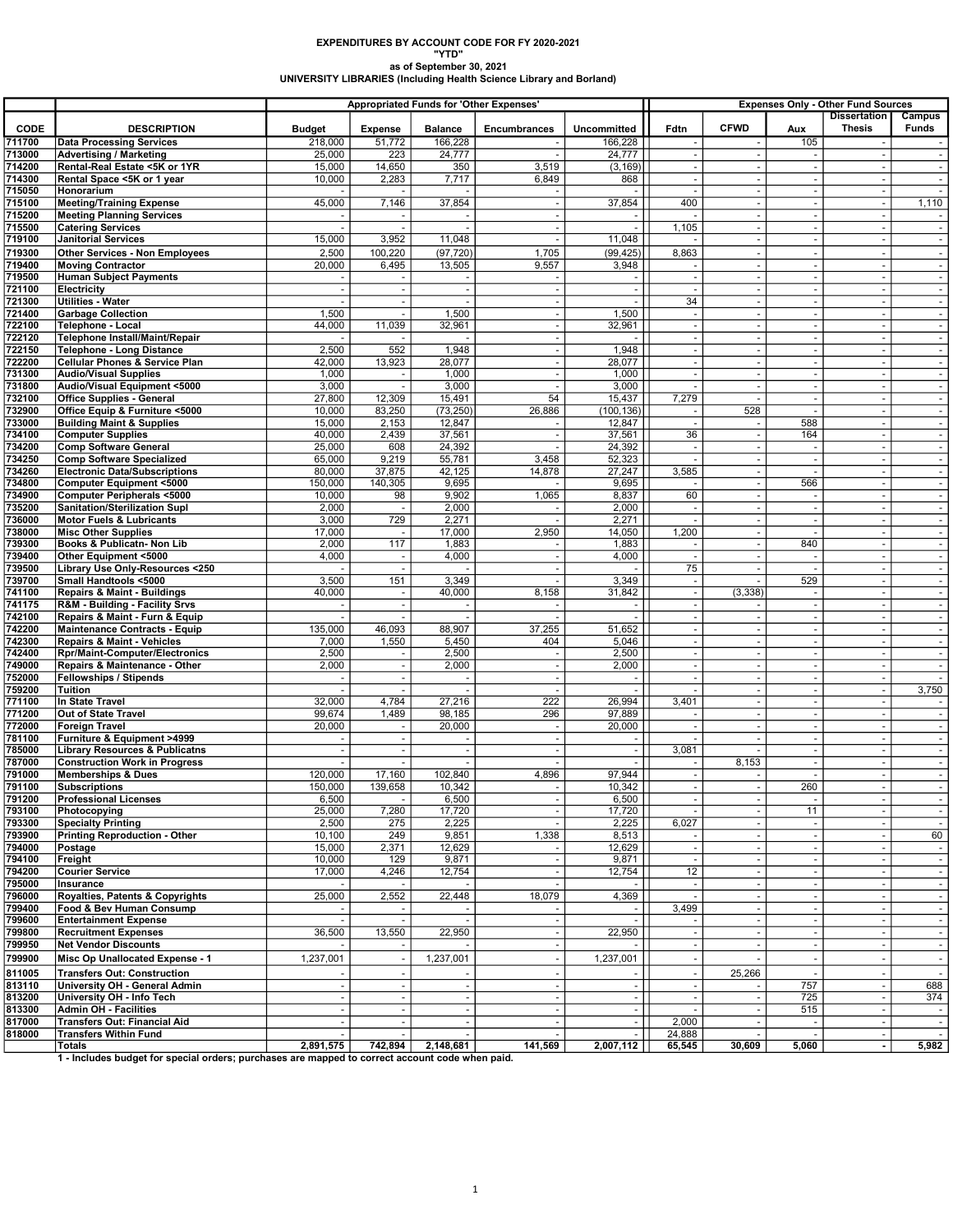## EXPENDITURES BY ACCOUNT CODE FOR FY 2020-2021 "YTD"

## as of September 30, 2021 UNIVERSITY LIBRARIES (Including Health Science Library and Borland)

|                  |                                                                                                 | <b>Appropriated Funds for 'Other Expenses'</b> |                                            |                           |                                                      |                               | <b>Expenses Only - Other Fund Sources</b>            |                                                      |                                            |                                                      |                  |
|------------------|-------------------------------------------------------------------------------------------------|------------------------------------------------|--------------------------------------------|---------------------------|------------------------------------------------------|-------------------------------|------------------------------------------------------|------------------------------------------------------|--------------------------------------------|------------------------------------------------------|------------------|
|                  |                                                                                                 |                                                |                                            |                           |                                                      |                               |                                                      | <b>CFWD</b>                                          |                                            | <b>Dissertation</b>                                  | Campus           |
| CODE<br>711700   | <b>DESCRIPTION</b><br><b>Data Processing Services</b>                                           | <b>Budget</b><br>218,000                       | <b>Expense</b><br>51,772                   | <b>Balance</b><br>166,228 | Encumbrances                                         | <b>Uncommitted</b><br>166,228 | Fdtn                                                 |                                                      | Aux<br>105                                 | <b>Thesis</b>                                        | <b>Funds</b>     |
| 713000           | <b>Advertising / Marketing</b>                                                                  | 25,000                                         | 223                                        | 24,777                    |                                                      | 24,777                        | $\overline{\phantom{a}}$                             | ÷.                                                   | ÷,                                         | $\overline{\phantom{a}}$                             | $\sim$           |
| 714200           | Rental-Real Estate <5K or 1YR                                                                   | 15,000                                         | 14,650                                     | 350                       | 3,519                                                | (3, 169)                      | $\overline{\phantom{a}}$                             | $\overline{\phantom{a}}$                             | $\blacksquare$                             | $\sim$                                               | $\sim$           |
| 714300           | Rental Space <5K or 1 year                                                                      | 10,000                                         | 2,283                                      | 7,717                     | 6,849                                                | 868                           | J.                                                   |                                                      | $\tilde{\phantom{a}}$                      |                                                      | $\sim$           |
| 715050           | Honorarium                                                                                      |                                                |                                            |                           |                                                      |                               |                                                      | $\overline{\phantom{a}}$                             | $\sim$                                     |                                                      | $\sim$           |
| 715100<br>715200 | <b>Meeting/Training Expense</b><br><b>Meeting Planning Services</b>                             | 45,000                                         | 7,146                                      | 37,854                    | $\overline{\phantom{a}}$                             | 37,854                        | 400                                                  | ÷,<br>٠.                                             | $\blacksquare$<br>$\overline{\phantom{a}}$ | $\overline{\phantom{a}}$<br>۰.                       | 1,110<br>$\sim$  |
| 715500           | <b>Catering Services</b>                                                                        |                                                |                                            |                           | $\overline{\phantom{a}}$                             |                               | 1,105                                                | ٠.                                                   | $\sim$                                     | $\overline{\phantom{a}}$                             | $\sim$           |
| 719100           | <b>Janitorial Services</b>                                                                      | 15,000                                         | 3,952                                      | 11,048                    | J.                                                   | 11,048                        |                                                      | ÷.                                                   | $\overline{\phantom{a}}$                   | $\ddot{\phantom{a}}$                                 | $\sim$           |
| 719300           | <b>Other Services - Non Employees</b>                                                           | 2,500                                          | 100,220                                    | (97, 720)                 | 1,705                                                | (99, 425)                     | 8,863                                                | ٠.                                                   | $\sim$                                     |                                                      |                  |
| 719400           | <b>Moving Contractor</b>                                                                        | 20,000                                         | 6,495                                      | 13,505                    | 9,557                                                | 3,948                         |                                                      | $\overline{\phantom{a}}$                             | $\sim$                                     | $\overline{\phantom{a}}$                             |                  |
| 719500           | <b>Human Subject Payments</b>                                                                   |                                                |                                            |                           |                                                      |                               | ÷,                                                   | ÷,                                                   | $\sim$                                     | ÷,                                                   |                  |
| 721100<br>721300 | Electricity<br><b>Utilities - Water</b>                                                         | $\sim$                                         | $\overline{\phantom{a}}$<br>$\blacksquare$ |                           | $\overline{\phantom{a}}$<br>$\overline{\phantom{a}}$ | $\sim$                        | 34                                                   | $\overline{\phantom{a}}$<br>÷.                       | $\overline{\phantom{a}}$<br>$\sim$         | $\overline{\phantom{a}}$<br>$\overline{\phantom{a}}$ | $\sim$           |
| 721400           | <b>Garbage Collection</b>                                                                       | 1,500                                          | $\overline{\phantom{a}}$                   | 1,500                     | $\overline{\phantom{a}}$                             | 1,500                         | $\overline{\phantom{a}}$                             | $\overline{\phantom{a}}$                             | $\overline{\phantom{a}}$                   | $\overline{\phantom{a}}$                             |                  |
| 722100           | <b>Telephone - Local</b>                                                                        | 44,000                                         | 11,039                                     | 32,961                    | $\sim$                                               | 32,961                        | $\overline{\phantom{a}}$                             | ÷,                                                   | $\overline{\phantom{a}}$                   | $\sim$                                               | $\sim$           |
| 722120           | Telephone Install/Maint/Repair                                                                  |                                                |                                            |                           |                                                      |                               | ÷,                                                   |                                                      | $\sim$                                     |                                                      |                  |
| 722150           | <b>Telephone - Long Distance</b>                                                                | 2,500                                          | 552                                        | 1,948                     | $\overline{\phantom{a}}$                             | 1,948                         | $\blacksquare$                                       | $\overline{a}$                                       | $\blacksquare$                             | $\sim$                                               | $\sim$           |
| 722200<br>731300 | <b>Cellular Phones &amp; Service Plan</b><br><b>Audio/Visual Supplies</b>                       | 42,000<br>1,000                                | 13,923<br>$\overline{\phantom{a}}$         | 28,077<br>1,000           | $\overline{\phantom{a}}$<br>٠.                       | 28,077<br>1,000               | $\overline{\phantom{a}}$<br>$\sim$                   | ÷,<br>÷.                                             | $\blacksquare$<br>$\sim$                   | $\overline{\phantom{a}}$<br>$\overline{\phantom{a}}$ | $\sim$<br>$\sim$ |
| 731800           | Audio/Visual Equipment <5000                                                                    | 3,000                                          |                                            | 3,000                     |                                                      | 3,000                         |                                                      | ٠.                                                   | $\sim$                                     | $\sim$                                               | $\sim$           |
| 732100           | <b>Office Supplies - General</b>                                                                | 27,800                                         | 12,309                                     | 15,491                    | 54                                                   | 15,437                        | 7,279                                                |                                                      | ÷,                                         |                                                      |                  |
| 732900           | Office Equip & Furniture <5000                                                                  | 10,000                                         | 83,250                                     | (73, 250)                 | 26,886                                               | (100, 136)                    | $\overline{\phantom{a}}$                             | 528                                                  | $\blacksquare$                             | $\overline{\phantom{a}}$                             | $\sim$           |
| 733000           | <b>Building Maint &amp; Supplies</b>                                                            | 15,000                                         | 2,153                                      | 12,847                    |                                                      | 12,847                        |                                                      | ÷.                                                   | 588                                        | $\overline{\phantom{a}}$                             | $\sim$           |
| 734100<br>734200 | <b>Computer Supplies</b><br><b>Comp Software General</b>                                        | 40,000<br>25,000                               | 2,439<br>608                               | 37,561<br>24,392          | ÷.                                                   | 37,561<br>24,392              | 36<br>$\overline{\phantom{a}}$                       | ÷.<br>$\overline{\phantom{a}}$                       | 164<br>$\overline{\phantom{a}}$            | $\overline{\phantom{a}}$<br>$\sim$                   | $\sim$<br>$\sim$ |
| 734250           | <b>Comp Software Specialized</b>                                                                | 65,000                                         | 9,219                                      | 55,781                    | 3,458                                                | 52,323                        |                                                      |                                                      | $\overline{\phantom{a}}$                   |                                                      |                  |
| 734260           | <b>Electronic Data/Subscriptions</b>                                                            | 80,000                                         | 37,875                                     | 42,125                    | 14,878                                               | 27,247                        | 3,585                                                | $\overline{\phantom{a}}$                             | $\overline{\phantom{a}}$                   | $\sim$                                               | $\sim$           |
| 734800           | <b>Computer Equipment &lt;5000</b>                                                              | 150,000                                        | 140,305                                    | 9,695                     |                                                      | 9,695                         |                                                      | $\overline{\phantom{a}}$                             | 566                                        | $\overline{\phantom{a}}$                             | $\sim$           |
| 734900           | <b>Computer Peripherals &lt;5000</b>                                                            | 10,000                                         | 98                                         | 9,902                     | 1,065                                                | 8,837                         | 60                                                   | ÷.                                                   | $\overline{\phantom{a}}$                   | $\sim$                                               | $\sim$           |
| 735200<br>736000 | <b>Sanitation/Sterilization Supl</b><br><b>Motor Fuels &amp; Lubricants</b>                     | 2,000<br>3,000                                 | 729                                        | 2,000<br>2,271            |                                                      | 2,000<br>2,271                |                                                      | $\overline{\phantom{a}}$<br>$\overline{\phantom{a}}$ | $\sim$<br>÷.                               | $\sim$<br>÷.                                         | $\sim$           |
| 738000           | <b>Misc Other Supplies</b>                                                                      | 17,000                                         | $\overline{\phantom{a}}$                   | 17,000                    | 2,950                                                | 14,050                        | 1,200                                                | $\overline{\phantom{a}}$                             | $\overline{\phantom{a}}$                   | $\overline{\phantom{a}}$                             | $\sim$           |
| 739300           | Books & Publicatn- Non Lib                                                                      | 2,000                                          | 117                                        | 1,883                     |                                                      | 1,883                         |                                                      | ÷.                                                   | 840                                        | $\overline{\phantom{a}}$                             |                  |
| 739400           | Other Equipment <5000                                                                           | 4,000                                          | $\sim$                                     | 4,000                     | ÷.                                                   | 4,000                         | ٠.                                                   | J.                                                   | $\overline{\phantom{a}}$                   | $\overline{\phantom{a}}$                             | $\sim$           |
| 739500           | Library Use Only-Resources <250                                                                 |                                                | $\blacksquare$                             |                           |                                                      |                               | 75                                                   | ÷,                                                   | $\overline{\phantom{a}}$                   | $\sim$                                               | $\sim$           |
| 739700<br>741100 | Small Handtools <5000<br><b>Repairs &amp; Maint - Buildings</b>                                 | 3,500<br>40,000                                | 151<br>$\overline{\phantom{a}}$            | 3,349<br>40,000           | 8,158                                                | 3,349<br>31,842               | L.<br>$\overline{\phantom{a}}$                       | (3, 338)                                             | 529<br>$\overline{\phantom{a}}$            | $\overline{\phantom{a}}$<br>$\overline{\phantom{a}}$ | $\sim$           |
| 741175           | R&M - Building - Facility Srvs                                                                  |                                                | $\blacksquare$                             |                           |                                                      | $\blacksquare$                | $\overline{\phantom{a}}$                             |                                                      | $\blacksquare$                             | $\overline{\phantom{a}}$                             | $\sim$           |
| 742100           | Repairs & Maint - Furn & Equip                                                                  |                                                |                                            |                           |                                                      |                               | ٠.                                                   | ÷.                                                   | $\sim$                                     | $\sim$                                               | $\sim$           |
| 742200           | <b>Maintenance Contracts - Equip</b>                                                            | 135,000                                        | 46,093                                     | 88,907                    | 37,255                                               | 51,652                        | ÷,                                                   |                                                      | $\overline{\phantom{a}}$                   | $\sim$                                               | $\sim$           |
| 742300           | <b>Repairs &amp; Maint - Vehicles</b>                                                           | 7,000                                          | 1,550                                      | 5,450                     | 404                                                  | 5,046                         | ÷.                                                   | ÷,                                                   | ÷.                                         |                                                      | $\sim$           |
| 742400<br>749000 | Rpr/Maint-Computer/Electronics<br>Repairs & Maintenance - Other                                 | 2,500<br>2,000                                 | $\overline{\phantom{a}}$<br>$\blacksquare$ | 2,500<br>2,000            | $\overline{\phantom{a}}$<br>$\sim$                   | 2,500<br>2,000                | $\sim$<br>$\overline{\phantom{a}}$                   | $\overline{\phantom{a}}$<br>÷.                       | $\overline{\phantom{a}}$<br>$\sim$         | $\overline{\phantom{a}}$<br>$\overline{\phantom{a}}$ | $\sim$<br>$\sim$ |
| 752000           | <b>Fellowships / Stipends</b>                                                                   | $\sim$                                         | $\overline{\phantom{a}}$                   | $\overline{\phantom{a}}$  | ÷.                                                   | $\blacksquare$                | $\overline{\phantom{a}}$                             | J.                                                   | $\sim$                                     | $\sim$                                               | $\sim$           |
| 759200           | <b>Tuition</b>                                                                                  |                                                |                                            |                           |                                                      |                               |                                                      | ÷,                                                   | $\overline{\phantom{a}}$                   | $\overline{\phantom{a}}$                             | 3,750            |
| 771100           | In State Travel                                                                                 | 32,000                                         | 4,784                                      | 27,216                    | 222                                                  | 26,994                        | 3,401                                                |                                                      | ÷.                                         |                                                      |                  |
| 771200           | Out of State Travel                                                                             | 99,674                                         | 1,489                                      | 98,185                    | 296                                                  | 97,889                        | ٠                                                    | ÷,                                                   | $\blacksquare$                             | $\sim$                                               | $\sim$           |
| 772000<br>781100 | <b>Foreign Travel</b><br>Furniture & Equipment >4999                                            | 20,000<br>$\sim$                               | $\sim$<br>$\overline{\phantom{a}}$         | 20,000                    | $\sim$<br>٠.                                         | 20,000<br>$\blacksquare$      | $\overline{\phantom{a}}$                             | J.<br>÷.                                             | $\blacksquare$<br>$\sim$                   | $\overline{\phantom{a}}$<br>$\sim$                   | $\sim$<br>$\sim$ |
| 785000           | <b>Library Resources &amp; Publicatns</b>                                                       |                                                | $\blacksquare$                             |                           |                                                      | $\blacksquare$                | 3,081                                                |                                                      | $\sim$                                     | $\overline{\phantom{a}}$                             | $\sim$           |
| 787000           | <b>Construction Work in Progress</b>                                                            |                                                |                                            |                           |                                                      |                               |                                                      | 8,153                                                | $\ddot{\phantom{1}}$                       |                                                      | $\sim$           |
| 791000           | <b>Memberships &amp; Dues</b>                                                                   | 120,000                                        | 17,160                                     | 102.840                   | 4,896                                                | 97,944                        | $\overline{\phantom{a}}$                             | $\overline{\phantom{a}}$                             | $\blacksquare$                             | $\sim$                                               | $\sim$           |
| 791100           | <b>Subscriptions</b>                                                                            | 150,000                                        | 139,658                                    | 10,342                    |                                                      | 10,342                        | $\sim$                                               |                                                      | 260                                        | $\overline{\phantom{a}}$                             | $\sim$           |
| 791200<br>793100 | <b>Professional Licenses</b><br>Photocopying                                                    | 6,500<br>25,000                                | 7,280                                      | 6,500<br>17,720           |                                                      | 6,500<br>17,720               | $\overline{\phantom{a}}$<br>$\overline{\phantom{a}}$ | $\overline{\phantom{a}}$                             | 11                                         | $\blacksquare$                                       | $\sim$           |
| 793300           | <b>Specialty Printing</b>                                                                       | 2,500                                          | 275                                        | 2,225                     |                                                      | 2,225                         | 6,027                                                |                                                      |                                            |                                                      | $\sim$           |
| 793900           | <b>Printing Reproduction - Other</b>                                                            | 10,100                                         | 249                                        | 9,851                     | 1,338                                                | 8,513                         |                                                      | $\overline{a}$                                       | $\overline{\phantom{a}}$                   | $\sim$                                               | 60               |
| 794000           | Postage                                                                                         | 15,000                                         | 2,371                                      | 12,629                    |                                                      | 12,629                        | $\blacksquare$                                       |                                                      | $\blacksquare$                             |                                                      | $\sim$           |
| 794100<br>794200 | Freight<br><b>Courier Service</b>                                                               | 10,000<br>17,000                               | 129<br>4,246                               | 9,871<br>12,754           | ÷.                                                   | 9,871<br>12,754               | ٠.<br>12                                             | $\overline{\phantom{a}}$<br>$\overline{\phantom{a}}$ | $\sim$<br>$\overline{\phantom{a}}$         | $\sim$<br>$\sim$                                     | $\sim$<br>$\sim$ |
| 795000           | Insurance                                                                                       |                                                |                                            |                           |                                                      |                               |                                                      |                                                      | $\sim$                                     |                                                      | $\sim$           |
| 796000           | Royalties, Patents & Copyrights                                                                 | 25,000                                         | 2,552                                      | 22,448                    | 18,079                                               | 4,369                         | ÷,                                                   | $\overline{a}$                                       | $\overline{\phantom{a}}$                   | $\sim$                                               | $\sim$           |
| 799400           | Food & Bev Human Consump                                                                        |                                                |                                            |                           |                                                      |                               | 3,499                                                | J.                                                   | $\blacksquare$                             | $\overline{\phantom{a}}$                             |                  |
| 799600           | <b>Entertainment Expense</b>                                                                    | $\sim$                                         | $\overline{\phantom{a}}$                   |                           | $\sim$                                               |                               |                                                      | ÷,                                                   | $\sim$                                     | $\sim$                                               | $\sim$           |
| 799800<br>799950 | <b>Recruitment Expenses</b><br><b>Net Vendor Discounts</b>                                      | 36,500                                         | 13,550                                     | 22,950                    | $\overline{\phantom{a}}$                             | 22,950                        | $\overline{\phantom{a}}$                             |                                                      | $\overline{\phantom{a}}$<br>$\sim$         |                                                      | $\sim$           |
| 799900           | Misc Op Unallocated Expense - 1                                                                 | 1,237,001                                      | $\overline{\phantom{a}}$                   | 1,237,001                 | $\overline{\phantom{a}}$                             | 1,237,001                     | $\overline{a}$                                       |                                                      | $\blacksquare$                             |                                                      | $\sim$           |
| 811005           | <b>Transfers Out: Construction</b>                                                              |                                                |                                            |                           |                                                      |                               |                                                      | 25,266                                               |                                            |                                                      |                  |
| 813110           | University OH - General Admin                                                                   | $\sim$                                         |                                            | $\sim$                    | ÷.                                                   | $\blacksquare$                | $\overline{\phantom{a}}$                             |                                                      | 757                                        | $\sim$                                               | 688              |
| 813200           | University OH - Info Tech                                                                       | $\sim$                                         | $\overline{\phantom{a}}$                   | $\overline{\phantom{a}}$  | $\overline{\phantom{a}}$                             | $\blacksquare$                | $\overline{\phantom{a}}$                             |                                                      | 725                                        | $\blacksquare$                                       | 374              |
| 813300           | <b>Admin OH - Facilities</b>                                                                    |                                                |                                            |                           |                                                      |                               |                                                      |                                                      | 515                                        |                                                      | $\sim$           |
| 817000           | Transfers Out: Financial Aid                                                                    | ÷,                                             | $\overline{\phantom{a}}$                   | $\overline{\phantom{a}}$  |                                                      | $\sim$                        | 2,000                                                |                                                      | $\overline{\phantom{a}}$                   | $\blacksquare$                                       | $\sim$           |
| 818000           | <b>Transfers Within Fund</b><br><b>Totals</b>                                                   | 2,891,575                                      | 742,894                                    | 2,148,681                 | 141,569                                              | 2,007,112                     | 24,888<br>65,545                                     | 30,609                                               | $\sim$<br>5,060                            | $\blacksquare$                                       | $\sim$<br>5,982  |
|                  | 1 - Includes budget for special orders; purchases are mapped to correct account code when paid. |                                                |                                            |                           |                                                      |                               |                                                      |                                                      |                                            |                                                      |                  |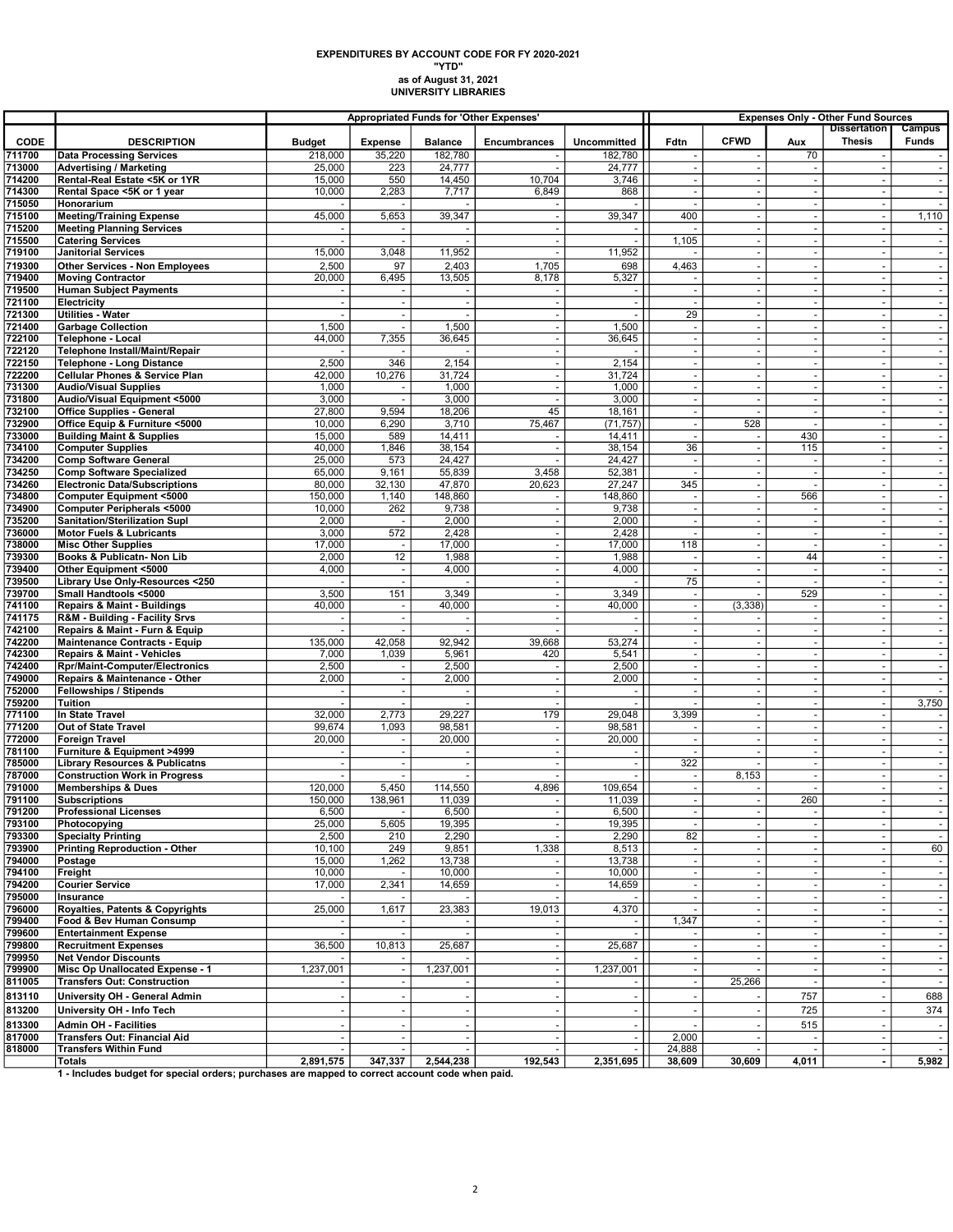## as of August 31, 2021 UNIVERSITY LIBRARIES EXPENDITURES BY ACCOUNT CODE FOR FY 2020-2021 "YTD"

|                  |                                                                                               | <b>Appropriated Funds for 'Other Expenses'</b> |                                                      |                          |                                |                          |                                                      | <b>Expenses Only - Other Fund Sources</b> |                                            |                                                      |                        |  |
|------------------|-----------------------------------------------------------------------------------------------|------------------------------------------------|------------------------------------------------------|--------------------------|--------------------------------|--------------------------|------------------------------------------------------|-------------------------------------------|--------------------------------------------|------------------------------------------------------|------------------------|--|
| <b>CODE</b>      | <b>DESCRIPTION</b>                                                                            | <b>Budget</b>                                  | <b>Expense</b>                                       | <b>Balance</b>           | Encumbrances                   | Uncommitted              | Fdtn                                                 | <b>CFWD</b>                               | Aux                                        | <b>Dissertation</b><br><b>Thesis</b>                 | Campus<br><b>Funds</b> |  |
| 711700           | <b>Data Processing Services</b>                                                               | 218,000                                        | 35,220                                               | 182,780                  |                                | 182,780                  |                                                      |                                           | 70                                         |                                                      | $\sim$                 |  |
| 713000<br>714200 | <b>Advertising / Marketing</b><br>Rental-Real Estate <5K or 1YR                               | 25,000<br>15,000                               | 223<br>550                                           | 24,777<br>14,450         | 10,704                         | 24,777<br>3,746          | $\overline{\phantom{a}}$<br>$\overline{\phantom{a}}$ |                                           | $\sim$<br>$\overline{\phantom{a}}$         | $\omega$<br>$\overline{\phantom{a}}$                 | $\sim$<br>$\sim$       |  |
| 714300           | Rental Space <5K or 1 year                                                                    | 10,000                                         | 2,283                                                | 7,717                    | 6,849                          | 868                      | $\overline{\phantom{a}}$                             | ÷,                                        | $\blacksquare$                             | ÷,                                                   | $\sim$                 |  |
| 715050           | Honorarium                                                                                    |                                                |                                                      |                          |                                |                          | ٠.                                                   | ÷,                                        | $\sim$                                     | $\sim$                                               | $\sim$                 |  |
| 715100           | <b>Meeting/Training Expense</b>                                                               | 45,000                                         | 5,653                                                | 39,347                   | $\sim$                         | 39,347                   | 400                                                  | $\overline{\phantom{a}}$                  | $\blacksquare$                             | $\sim$                                               | 1,110                  |  |
| 715200           | <b>Meeting Planning Services</b>                                                              |                                                |                                                      |                          |                                |                          |                                                      | $\overline{\phantom{a}}$                  | $\omega$                                   | $\sim$                                               | $\sim$                 |  |
| 715500           | <b>Catering Services</b>                                                                      |                                                |                                                      |                          |                                |                          | 1,105                                                |                                           | $\overline{\phantom{a}}$                   | $\overline{\phantom{a}}$                             | $\sim$                 |  |
| 719100           | <b>Janitorial Services</b>                                                                    | 15,000                                         | 3,048                                                | 11,952                   | $\overline{\phantom{a}}$       | 11,952                   |                                                      | ÷,                                        | $\blacksquare$                             | $\blacksquare$                                       | $\blacksquare$         |  |
| 719300           | <b>Other Services - Non Employees</b>                                                         | 2,500                                          | 97                                                   | 2,403                    | 1,705                          | 698                      | 4,463                                                | $\overline{\phantom{a}}$                  | $\blacksquare$                             | $\sim$                                               | $\sim$                 |  |
| 719400<br>719500 | <b>Moving Contractor</b><br><b>Human Subject Payments</b>                                     | 20,000                                         | 6,495                                                | 13,505                   | 8,178                          | 5,327                    |                                                      | ÷,<br>÷,                                  | $\sim$<br>$\blacksquare$                   | $\blacksquare$<br>÷,                                 | $\sim$<br>$\sim$       |  |
| 721100           | Electricity                                                                                   | $\sim$                                         | $\sim$                                               | $\sim$                   | ÷.                             | $\sim$                   | $\overline{\phantom{a}}$                             | ÷,                                        | $\blacksquare$                             | $\overline{\phantom{a}}$                             | $\sim$                 |  |
| 721300           | <b>Utilities - Water</b>                                                                      |                                                |                                                      |                          |                                |                          | 29                                                   |                                           | $\overline{\phantom{a}}$                   | ÷,                                                   | $\sim$                 |  |
| 721400           | <b>Garbage Collection</b>                                                                     | 1,500                                          |                                                      | 1,500                    |                                | 1,500                    | $\sim$                                               |                                           | $\sim$                                     | $\overline{a}$                                       |                        |  |
| 722100           | Telephone - Local                                                                             | 44,000                                         | 7,355                                                | 36,645                   | ÷,                             | 36,645                   | $\overline{\phantom{a}}$                             | $\overline{\phantom{a}}$                  | $\blacksquare$                             | $\overline{\phantom{a}}$                             | $\sim$                 |  |
| 722120           | Telephone Install/Maint/Repair                                                                |                                                |                                                      |                          | $\overline{\phantom{a}}$       |                          | $\overline{\phantom{a}}$                             | ÷,                                        | $\omega$                                   | ÷,                                                   |                        |  |
| 722150<br>722200 | <b>Telephone - Long Distance</b><br><b>Cellular Phones &amp; Service Plan</b>                 | 2,500<br>42,000                                | 346<br>10,276                                        | 2,154<br>31,724          | ÷,<br>$\overline{\phantom{a}}$ | 2,154<br>31,724          | $\sim$<br>$\overline{\phantom{a}}$                   | ÷,<br>$\overline{\phantom{a}}$            | $\overline{\phantom{a}}$<br>$\blacksquare$ | $\blacksquare$<br>÷,                                 | $\sim$<br>$\sim$       |  |
| 731300           | <b>Audio/Visual Supplies</b>                                                                  | 1,000                                          |                                                      | 1,000                    |                                | 1,000                    | $\overline{a}$                                       |                                           | $\sim$                                     | $\overline{a}$                                       |                        |  |
| 731800           | Audio/Visual Equipment <5000                                                                  | 3,000                                          | $\overline{a}$                                       | 3,000                    |                                | 3,000                    | $\overline{\phantom{a}}$                             | ÷,                                        | $\overline{\phantom{a}}$                   | $\overline{\phantom{a}}$                             | $\sim$                 |  |
| 732100           | <b>Office Supplies - General</b>                                                              | 27,800                                         | 9,594                                                | 18,206                   | 45                             | 18,161                   | $\overline{\phantom{a}}$                             |                                           | $\blacksquare$                             | ÷,                                                   | $\sim$                 |  |
| 732900           | Office Equip & Furniture <5000                                                                | 10,000                                         | 6,290                                                | 3,710                    | 75,467                         | (71, 757)                | $\overline{\phantom{a}}$                             | 528                                       | $\sim$                                     | $\overline{\phantom{a}}$                             | $\sim$                 |  |
| 733000           | <b>Building Maint &amp; Supplies</b>                                                          | 15,000                                         | 589                                                  | 14,411                   |                                | 14,411                   |                                                      |                                           | 430                                        | ÷,                                                   | $\sim$                 |  |
| 734100<br>734200 | <b>Computer Supplies</b><br><b>Comp Software General</b>                                      | 40,000<br>25,000                               | 1,846<br>573                                         | 38,154<br>24,427         |                                | 38,154<br>24,427         | 36<br>$\overline{\phantom{a}}$                       |                                           | 115<br>$\overline{\phantom{a}}$            | ÷.<br>$\blacksquare$                                 | $\sim$<br>$\sim$       |  |
| 734250           | <b>Comp Software Specialized</b>                                                              | 65,000                                         | 9,161                                                | 55,839                   | 3,458                          | 52,381                   |                                                      | $\overline{\phantom{a}}$                  | $\sim$                                     | J.                                                   |                        |  |
| 734260           | <b>Electronic Data/Subscriptions</b>                                                          | 80,000                                         | 32,130                                               | 47,870                   | 20,623                         | 27,247                   | 345                                                  | ÷,                                        | $\sim$                                     | $\blacksquare$                                       | $\sim$                 |  |
| 734800           | <b>Computer Equipment &lt;5000</b>                                                            | 150,000                                        | 1,140                                                | 148,860                  | $\sim$                         | 148,860                  | $\overline{\phantom{a}}$                             | $\sim$                                    | 566                                        | ÷,                                                   | $\sim$                 |  |
| 734900           | Computer Peripherals <5000                                                                    | 10,000                                         | 262                                                  | 9,738                    |                                | 9,738                    |                                                      |                                           | $\overline{\phantom{a}}$                   | ÷,                                                   |                        |  |
| 735200<br>736000 | <b>Sanitation/Sterilization Supl</b><br><b>Motor Fuels &amp; Lubricants</b>                   | 2,000<br>3,000                                 | 572                                                  | 2,000<br>2,428           | ÷,<br>$\overline{\phantom{a}}$ | 2,000<br>2,428           | $\overline{\phantom{a}}$<br>$\sim$                   | ÷,<br>$\overline{\phantom{a}}$            | $\sim$<br>$\blacksquare$                   | $\blacksquare$<br>÷,                                 | $\sim$<br>$\sim$       |  |
| 738000           | <b>Misc Other Supplies</b>                                                                    | 17,000                                         | $\overline{\phantom{a}}$                             | 17,000                   | ÷,                             | 17,000                   | 118                                                  | ÷,                                        | $\sim$                                     | $\overline{\phantom{a}}$                             | $\sim$                 |  |
| 739300           | Books & Publicatn- Non Lib                                                                    | 2,000                                          | 12                                                   | 1,988                    |                                | 1,988                    | ۰.                                                   |                                           | 44                                         | ÷,                                                   | $\sim$                 |  |
| 739400           | Other Equipment <5000                                                                         | 4,000                                          | $\overline{\phantom{a}}$                             | 4,000                    |                                | 4,000                    |                                                      |                                           | $\overline{\phantom{a}}$                   | $\blacksquare$                                       |                        |  |
| 739500           | Library Use Only-Resources <250                                                               |                                                | $\overline{\phantom{a}}$                             |                          | $\overline{\phantom{a}}$       |                          | 75                                                   | ÷,                                        | $\sim$                                     | $\blacksquare$                                       | $\sim$                 |  |
| 739700<br>741100 | Small Handtools <5000<br><b>Repairs &amp; Maint - Buildings</b>                               | 3,500<br>40,000                                | 151<br>$\overline{\phantom{a}}$                      | 3,349<br>40,000          | $\overline{\phantom{a}}$<br>÷, | 3,349<br>40,000          | $\overline{\phantom{a}}$<br>$\blacksquare$           | (3, 338)                                  | 529<br>$\blacksquare$                      | $\overline{\phantom{a}}$<br>$\blacksquare$           | $\sim$                 |  |
| 741175           | R&M - Building - Facility Srvs                                                                |                                                | $\overline{\phantom{a}}$                             |                          |                                |                          | $\overline{\phantom{a}}$                             |                                           | $\blacksquare$                             | ÷,                                                   | $\sim$                 |  |
| 742100           | Repairs & Maint - Furn & Equip                                                                |                                                |                                                      |                          |                                |                          | $\overline{a}$                                       |                                           | $\sim$                                     | $\overline{a}$                                       |                        |  |
| 742200           | Maintenance Contracts - Equip                                                                 | 135,000                                        | 42,058                                               | 92,942                   | 39,668                         | 53,274                   | $\overline{\phantom{a}}$                             |                                           | $\overline{\phantom{a}}$                   | $\overline{\phantom{a}}$                             | $\sim$                 |  |
| 742300           | <b>Repairs &amp; Maint - Vehicles</b>                                                         | 7,000                                          | 1,039                                                | 5,961                    | 420                            | 5,541                    | $\overline{\phantom{a}}$                             | ÷,                                        | $\blacksquare$                             | ÷,                                                   | $\sim$                 |  |
| 742400<br>749000 | <b>Rpr/Maint-Computer/Electronics</b><br>Repairs & Maintenance - Other                        | 2,500<br>2,000                                 | $\overline{\phantom{a}}$<br>$\overline{\phantom{a}}$ | 2,500<br>2,000           |                                | 2,500<br>2,000           | $\overline{\phantom{a}}$<br>$\overline{\phantom{a}}$ | ÷,                                        | $\blacksquare$<br>$\overline{\phantom{a}}$ | $\overline{\phantom{a}}$<br>$\overline{\phantom{a}}$ | $\sim$<br>$\sim$       |  |
| 752000           | <b>Fellowships / Stipends</b>                                                                 |                                                |                                                      |                          |                                |                          |                                                      |                                           | $\sim$                                     | ÷,                                                   | $\sim$                 |  |
| 759200           | Tuition                                                                                       |                                                | $\blacksquare$                                       |                          |                                |                          |                                                      | ÷,                                        | $\overline{\phantom{a}}$                   | $\overline{\phantom{a}}$                             | 3,750                  |  |
| 771100           | In State Travel                                                                               | 32,000                                         | 2,773                                                | 29,227                   | 179                            | 29,048                   | 3,399                                                | ÷,                                        | $\blacksquare$                             | $\overline{\phantom{a}}$                             |                        |  |
| 771200           | Out of State Travel                                                                           | 99,674                                         | 1,093                                                | 98,581                   | $\overline{\phantom{a}}$       | 98,581                   | $\overline{\phantom{a}}$                             | ÷,                                        | $\overline{\phantom{a}}$                   | $\sim$                                               | $\sim$                 |  |
| 772000<br>781100 | <b>Foreign Travel</b><br>Furniture & Equipment >4999                                          | 20,000                                         | $\overline{\phantom{a}}$                             | 20,000                   | $\sim$                         | 20,000                   | $\overline{\phantom{a}}$                             | $\overline{\phantom{a}}$                  | $\blacksquare$<br>$\sim$                   | $\sim$<br>÷.                                         | $\sim$                 |  |
| 785000           | <b>Library Resources &amp; Publicatns</b>                                                     | ä,                                             | $\blacksquare$                                       | $\overline{\phantom{a}}$ |                                | $\sim$                   | 322                                                  |                                           | $\sim$                                     | $\blacksquare$                                       | $\sim$                 |  |
| 787000           | <b>Construction Work in Progress</b>                                                          |                                                |                                                      |                          |                                |                          |                                                      | 8,153                                     | $\sim$                                     | ÷,                                                   | $\sim$                 |  |
| 791000           | <b>Memberships &amp; Dues</b>                                                                 | 120,000                                        | 5,450                                                | 114,550                  | 4,896                          | 109,654                  | $\sim$                                               |                                           | $\sim$                                     | $\overline{\phantom{a}}$                             | $\sim$                 |  |
| 791100<br>791200 | <b>Subscriptions</b><br><b>Professional Licenses</b>                                          | 150,000<br>6,500                               | 138,961                                              | 11,039<br>6,500          |                                | 11,039<br>6,500          | $\overline{\phantom{a}}$                             |                                           | 260                                        | $\sim$                                               | $\sim$                 |  |
| 793100           | Photocopying                                                                                  | 25,000                                         | 5,605                                                | 19,395                   |                                | 19,395                   | $\overline{\phantom{a}}$                             | $\overline{\phantom{a}}$                  | $\sim$                                     | ۰.<br>$\sim$                                         | $\sim$                 |  |
| 793300           | <b>Specialty Printing</b>                                                                     | 2,500                                          | 210                                                  | 2,290                    |                                | 2,290                    | 82                                                   | $\overline{\phantom{a}}$                  | $\blacksquare$                             | $\blacksquare$                                       | $\sim$                 |  |
| 793900           | <b>Printing Reproduction - Other</b>                                                          | 10,100                                         | 249                                                  | 9,851                    | 1,338                          | 8,513                    | $\overline{\phantom{a}}$                             |                                           | $\blacksquare$                             | $\blacksquare$                                       | 60                     |  |
| 794000           | Postage                                                                                       | 15,000                                         | 1,262                                                | 13,738                   |                                | 13,738                   | $\overline{\phantom{a}}$                             |                                           | $\blacksquare$                             | ÷,                                                   | $\sim$                 |  |
| 794100<br>794200 | Freight<br><b>Courier Service</b>                                                             | 10,000<br>17,000                               | 2,341                                                | 10,000<br>14,659         |                                | 10,000<br>14,659         |                                                      |                                           | $\sim$<br>$\overline{\phantom{a}}$         | $\overline{\phantom{a}}$<br>$\overline{\phantom{a}}$ | $\sim$                 |  |
| 795000           | Insurance                                                                                     |                                                |                                                      |                          |                                |                          |                                                      |                                           | $\sim$                                     | $\blacksquare$                                       | $\sim$                 |  |
| 796000           | Royalties, Patents & Copyrights                                                               | 25,000                                         | 1,617                                                | 23,383                   | 19,013                         | 4,370                    |                                                      | ÷,                                        | $\blacksquare$                             | $\sim$                                               | $\sim$                 |  |
| 799400           | Food & Bev Human Consump                                                                      |                                                |                                                      |                          |                                |                          | 1,347                                                |                                           |                                            | $\overline{\phantom{a}}$                             | $\sim$                 |  |
| 799600           | <b>Entertainment Expense</b>                                                                  |                                                |                                                      |                          |                                |                          |                                                      |                                           | $\sim$                                     | $\overline{a}$                                       | $\sim$                 |  |
| 799800<br>799950 | <b>Recruitment Expenses</b><br><b>Net Vendor Discounts</b>                                    | 36,500                                         | 10,813                                               | 25,687                   | $\overline{\phantom{a}}$       | 25,687                   |                                                      |                                           | $\overline{\phantom{a}}$<br>$\omega$       | $\overline{\phantom{a}}$<br>$\overline{\phantom{a}}$ | $\sim$<br>$\sim$       |  |
| 799900           | Misc Op Unallocated Expense - 1                                                               | 1,237,001                                      | $\sim$                                               | 1,237,001                | $\overline{\phantom{a}}$       | 1,237,001                | $\overline{\phantom{a}}$                             |                                           | $\sim$                                     | $\blacksquare$                                       | $\sim$                 |  |
| 811005           | <b>Transfers Out: Construction</b>                                                            |                                                |                                                      |                          | $\overline{\phantom{a}}$       |                          | $\overline{\phantom{a}}$                             | 25,266                                    | $\sim$                                     | $\blacksquare$                                       | $\sim$                 |  |
| 813110           | University OH - General Admin                                                                 |                                                |                                                      |                          |                                |                          |                                                      |                                           | 757                                        | $\overline{\phantom{a}}$                             | 688                    |  |
| 813200           | University OH - Info Tech                                                                     | $\overline{\phantom{a}}$                       |                                                      | $\overline{\phantom{a}}$ |                                | $\overline{\phantom{a}}$ | $\sim$                                               |                                           | 725                                        | ÷,                                                   | 374                    |  |
| 813300           | <b>Admin OH - Facilities</b>                                                                  |                                                | $\overline{\phantom{a}}$                             | $\overline{\phantom{a}}$ |                                | $\overline{\phantom{a}}$ |                                                      |                                           | 515                                        | $\sim$                                               | $\overline{a}$         |  |
| 817000           | <b>Transfers Out: Financial Aid</b>                                                           |                                                | $\blacksquare$                                       | $\sim$                   | $\overline{\phantom{a}}$       | $\blacksquare$           | 2,000                                                |                                           | $\blacksquare$                             | ÷,                                                   | $\sim$                 |  |
| 818000           | <b>Transfers Within Fund</b><br><b>Totals</b>                                                 | 2,891,575                                      | 347,337                                              | 2,544,238                |                                |                          | 24,888                                               |                                           |                                            | $\sim$                                               | $\sim$                 |  |
|                  | 1. Includes budget for special orders: purchases are manned to correct account code when paid |                                                |                                                      |                          | 192,543                        | 2,351,695                | 38,609                                               | 30,609                                    | 4,011                                      | $\blacksquare$                                       | 5,982                  |  |

1 - Includes budget for special orders; purchases are mapped to correct account code when paid.